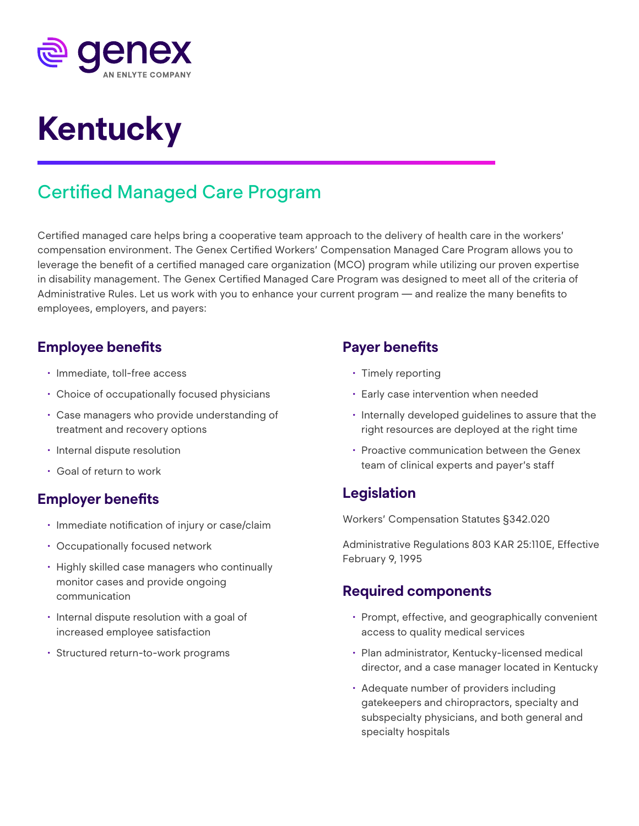

# **Kentucky**

## Certified Managed Care Program

Certified managed care helps bring a cooperative team approach to the delivery of health care in the workers' compensation environment. The Genex Certified Workers' Compensation Managed Care Program allows you to leverage the benefit of a certified managed care organization (MCO) program while utilizing our proven expertise in disability management. The Genex Certified Managed Care Program was designed to meet all of the criteria of Administrative Rules. Let us work with you to enhance your current program — and realize the many benefits to employees, employers, and payers:

#### **Employee benefits**

- Immediate, toll-free access
- Choice of occupationally focused physicians
- Case managers who provide understanding of treatment and recovery options
- Internal dispute resolution
- Goal of return to work

#### **Employer benefits**

- Immediate notification of injury or case/claim
- Occupationally focused network
- Highly skilled case managers who continually monitor cases and provide ongoing communication
- Internal dispute resolution with a goal of increased employee satisfaction
- Structured return-to-work programs

#### **Payer benefits**

- Timely reporting
- Early case intervention when needed
- Internally developed guidelines to assure that the right resources are deployed at the right time
- Proactive communication between the Genex team of clinical experts and payer's staff

### **Legislation**

Workers' Compensation Statutes §342.020

Administrative Regulations 803 KAR 25:110E, Effective February 9, 1995

#### **Required components**

- Prompt, effective, and geographically convenient access to quality medical services
- Plan administrator, Kentucky-licensed medical director, and a case manager located in Kentucky
- Adequate number of providers including gatekeepers and chiropractors, specialty and subspecialty physicians, and both general and specialty hospitals